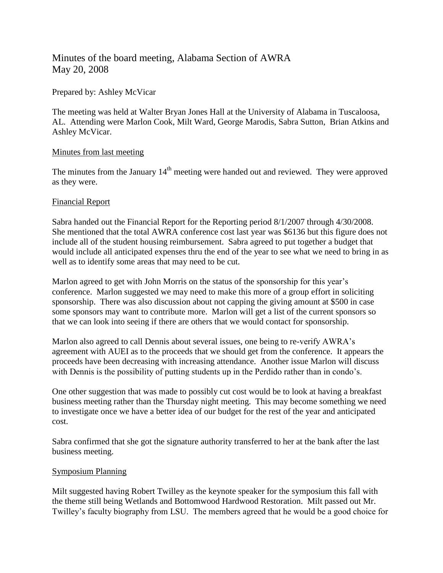# Minutes of the board meeting, Alabama Section of AWRA May 20, 2008

## Prepared by: Ashley McVicar

The meeting was held at Walter Bryan Jones Hall at the University of Alabama in Tuscaloosa, AL. Attending were Marlon Cook, Milt Ward, George Marodis, Sabra Sutton, Brian Atkins and Ashley McVicar.

## Minutes from last meeting

The minutes from the January  $14<sup>th</sup>$  meeting were handed out and reviewed. They were approved as they were.

## Financial Report

Sabra handed out the Financial Report for the Reporting period 8/1/2007 through 4/30/2008. She mentioned that the total AWRA conference cost last year was \$6136 but this figure does not include all of the student housing reimbursement. Sabra agreed to put together a budget that would include all anticipated expenses thru the end of the year to see what we need to bring in as well as to identify some areas that may need to be cut.

Marlon agreed to get with John Morris on the status of the sponsorship for this year's conference. Marlon suggested we may need to make this more of a group effort in soliciting sponsorship. There was also discussion about not capping the giving amount at \$500 in case some sponsors may want to contribute more. Marlon will get a list of the current sponsors so that we can look into seeing if there are others that we would contact for sponsorship.

Marlon also agreed to call Dennis about several issues, one being to re-verify AWRA's agreement with AUEI as to the proceeds that we should get from the conference. It appears the proceeds have been decreasing with increasing attendance. Another issue Marlon will discuss with Dennis is the possibility of putting students up in the Perdido rather than in condo's.

One other suggestion that was made to possibly cut cost would be to look at having a breakfast business meeting rather than the Thursday night meeting. This may become something we need to investigate once we have a better idea of our budget for the rest of the year and anticipated cost.

Sabra confirmed that she got the signature authority transferred to her at the bank after the last business meeting.

#### Symposium Planning

Milt suggested having Robert Twilley as the keynote speaker for the symposium this fall with the theme still being Wetlands and Bottomwood Hardwood Restoration. Milt passed out Mr. Twilley's faculty biography from LSU. The members agreed that he would be a good choice for